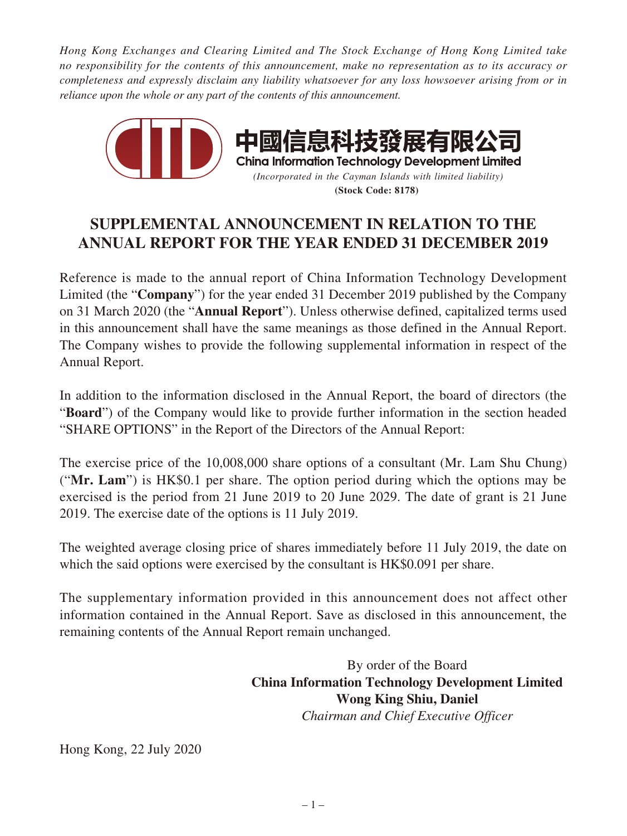*Hong Kong Exchanges and Clearing Limited and The Stock Exchange of Hong Kong Limited take no responsibility for the contents of this announcement, make no representation as to its accuracy or completeness and expressly disclaim any liability whatsoever for any loss howsoever arising from or in reliance upon the whole or any part of the contents of this announcement.*



## **SUPPLEMENTAL ANNOUNCEMENT IN RELATION TO THE ANNUAL REPORT FOR THE YEAR ENDED 31 DECEMBER 2019**

Reference is made to the annual report of China Information Technology Development Limited (the "**Company**") for the year ended 31 December 2019 published by the Company on 31 March 2020 (the "**Annual Report**"). Unless otherwise defined, capitalized terms used in this announcement shall have the same meanings as those defined in the Annual Report. The Company wishes to provide the following supplemental information in respect of the Annual Report.

In addition to the information disclosed in the Annual Report, the board of directors (the "**Board**") of the Company would like to provide further information in the section headed "SHARE OPTIONS" in the Report of the Directors of the Annual Report:

The exercise price of the 10,008,000 share options of a consultant (Mr. Lam Shu Chung) ("**Mr. Lam**") is HK\$0.1 per share. The option period during which the options may be exercised is the period from 21 June 2019 to 20 June 2029. The date of grant is 21 June 2019. The exercise date of the options is 11 July 2019.

The weighted average closing price of shares immediately before 11 July 2019, the date on which the said options were exercised by the consultant is HK\$0.091 per share.

The supplementary information provided in this announcement does not affect other information contained in the Annual Report. Save as disclosed in this announcement, the remaining contents of the Annual Report remain unchanged.

> By order of the Board **China Information Technology Development Limited Wong King Shiu, Daniel** *Chairman and Chief Executive Officer*

Hong Kong, 22 July 2020